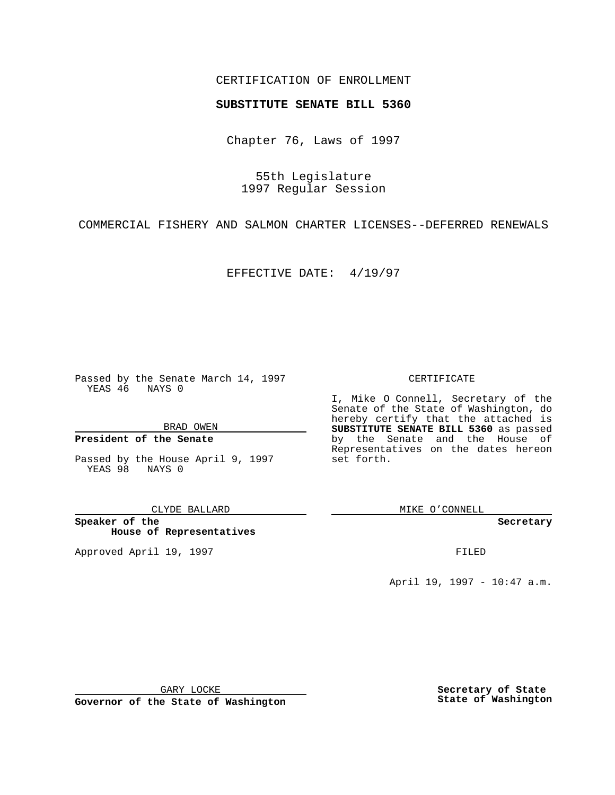## CERTIFICATION OF ENROLLMENT

# **SUBSTITUTE SENATE BILL 5360**

Chapter 76, Laws of 1997

55th Legislature 1997 Regular Session

COMMERCIAL FISHERY AND SALMON CHARTER LICENSES--DEFERRED RENEWALS

EFFECTIVE DATE: 4/19/97

Passed by the Senate March 14, 1997 YEAS 46 NAYS 0

BRAD OWEN

### **President of the Senate**

Passed by the House April 9, 1997 YEAS 98 NAYS 0

#### CLYDE BALLARD

**Speaker of the House of Representatives**

Approved April 19, 1997 **FILED** 

#### CERTIFICATE

I, Mike O Connell, Secretary of the Senate of the State of Washington, do hereby certify that the attached is **SUBSTITUTE SENATE BILL 5360** as passed by the Senate and the House of Representatives on the dates hereon set forth.

MIKE O'CONNELL

**Secretary**

April 19, 1997 - 10:47 a.m.

GARY LOCKE

**Governor of the State of Washington**

**Secretary of State State of Washington**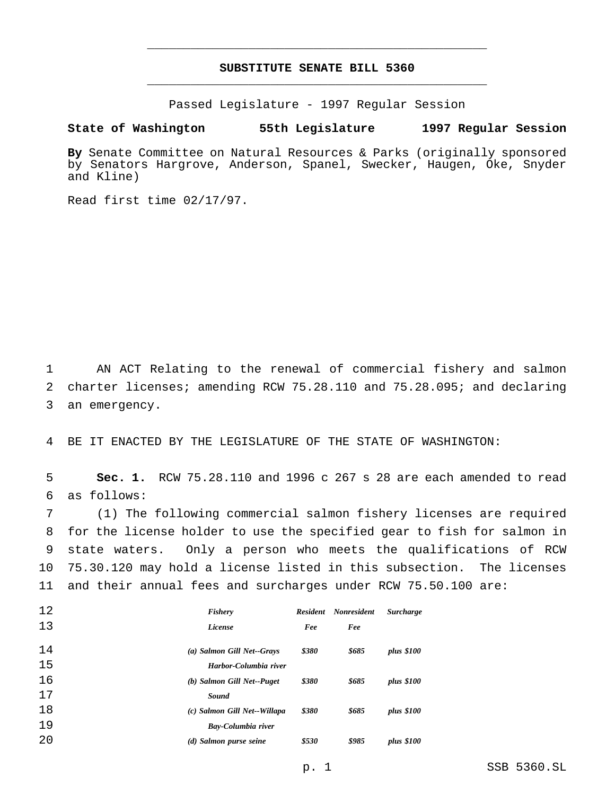## **SUBSTITUTE SENATE BILL 5360** \_\_\_\_\_\_\_\_\_\_\_\_\_\_\_\_\_\_\_\_\_\_\_\_\_\_\_\_\_\_\_\_\_\_\_\_\_\_\_\_\_\_\_\_\_\_\_

\_\_\_\_\_\_\_\_\_\_\_\_\_\_\_\_\_\_\_\_\_\_\_\_\_\_\_\_\_\_\_\_\_\_\_\_\_\_\_\_\_\_\_\_\_\_\_

Passed Legislature - 1997 Regular Session

# **State of Washington 55th Legislature 1997 Regular Session**

**By** Senate Committee on Natural Resources & Parks (originally sponsored by Senators Hargrove, Anderson, Spanel, Swecker, Haugen, Oke, Snyder and Kline)

Read first time 02/17/97.

 AN ACT Relating to the renewal of commercial fishery and salmon charter licenses; amending RCW 75.28.110 and 75.28.095; and declaring an emergency.

BE IT ENACTED BY THE LEGISLATURE OF THE STATE OF WASHINGTON:

 **Sec. 1.** RCW 75.28.110 and 1996 c 267 s 28 are each amended to read as follows:

 (1) The following commercial salmon fishery licenses are required for the license holder to use the specified gear to fish for salmon in state waters. Only a person who meets the qualifications of RCW 75.30.120 may hold a license listed in this subsection. The licenses and their annual fees and surcharges under RCW 75.50.100 are:

| 12 | Fishery                      | <b>Resident</b> | <b>Nonresident</b> | <b>Surcharge</b> |
|----|------------------------------|-----------------|--------------------|------------------|
| 13 | License                      | Fee             | Fee                |                  |
| 14 | (a) Salmon Gill Net--Grays   | \$380           | \$685              | plus \$100       |
| 15 | Harbor-Columbia river        |                 |                    |                  |
| 16 | (b) Salmon Gill Net--Puget   | \$380           | \$685              | plus \$100       |
| 17 | Sound                        |                 |                    |                  |
| 18 | (c) Salmon Gill Net--Willapa | \$380           | \$685              | plus \$100       |
| 19 | Bay-Columbia river           |                 |                    |                  |
| 20 | (d) Salmon purse seine       | \$530           | \$985              | plus \$100       |

p. 1 SSB 5360.SL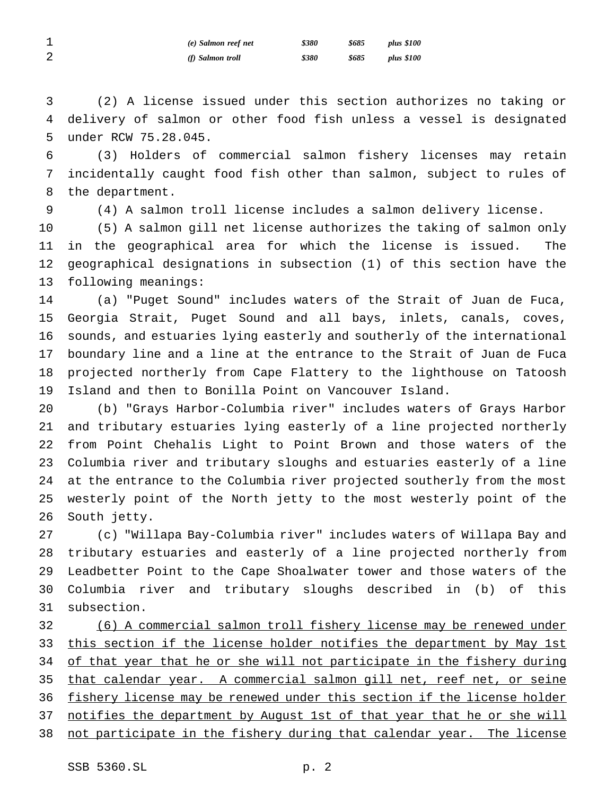| ᅩ           | (e) Salmon reef net | \$380 | \$685 | plus \$100 |
|-------------|---------------------|-------|-------|------------|
| $\sim$<br>∠ | (f) Salmon troll    | \$380 | \$685 | plus \$100 |

 (2) A license issued under this section authorizes no taking or delivery of salmon or other food fish unless a vessel is designated under RCW 75.28.045.

 (3) Holders of commercial salmon fishery licenses may retain incidentally caught food fish other than salmon, subject to rules of the department.

(4) A salmon troll license includes a salmon delivery license.

 (5) A salmon gill net license authorizes the taking of salmon only in the geographical area for which the license is issued. The geographical designations in subsection (1) of this section have the following meanings:

 (a) "Puget Sound" includes waters of the Strait of Juan de Fuca, Georgia Strait, Puget Sound and all bays, inlets, canals, coves, sounds, and estuaries lying easterly and southerly of the international boundary line and a line at the entrance to the Strait of Juan de Fuca projected northerly from Cape Flattery to the lighthouse on Tatoosh Island and then to Bonilla Point on Vancouver Island.

 (b) "Grays Harbor-Columbia river" includes waters of Grays Harbor and tributary estuaries lying easterly of a line projected northerly from Point Chehalis Light to Point Brown and those waters of the Columbia river and tributary sloughs and estuaries easterly of a line at the entrance to the Columbia river projected southerly from the most westerly point of the North jetty to the most westerly point of the South jetty.

 (c) "Willapa Bay-Columbia river" includes waters of Willapa Bay and tributary estuaries and easterly of a line projected northerly from Leadbetter Point to the Cape Shoalwater tower and those waters of the Columbia river and tributary sloughs described in (b) of this subsection.

 (6) A commercial salmon troll fishery license may be renewed under this section if the license holder notifies the department by May 1st 34 of that year that he or she will not participate in the fishery during that calendar year. A commercial salmon gill net, reef net, or seine fishery license may be renewed under this section if the license holder 37 notifies the department by August 1st of that year that he or she will 38 not participate in the fishery during that calendar year. The license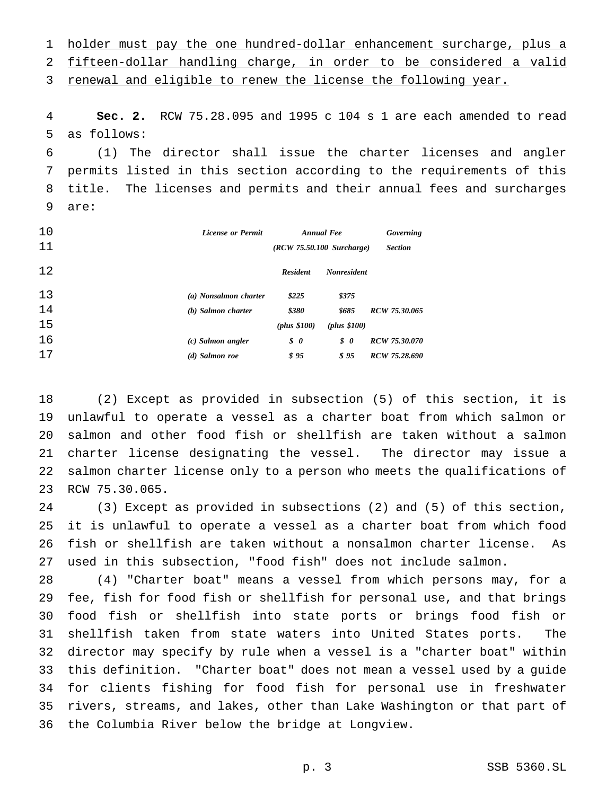holder must pay the one hundred-dollar enhancement surcharge, plus a fifteen-dollar handling charge, in order to be considered a valid

3 renewal and eligible to renew the license the following year.

 **Sec. 2.** RCW 75.28.095 and 1995 c 104 s 1 are each amended to read as follows:

 (1) The director shall issue the charter licenses and angler permits listed in this section according to the requirements of this title. The licenses and permits and their annual fees and surcharges are:

| 10 | <b>License or Permit</b> | <b>Annual Fee</b>                 |                    | Governing<br><b>Section</b> |
|----|--------------------------|-----------------------------------|--------------------|-----------------------------|
| 11 |                          | $(RCW 75.50.100 \text{ Surface})$ |                    |                             |
| 12 |                          | <b>Resident</b>                   | <b>Nonresident</b> |                             |
| 13 | (a) Nonsalmon charter    | \$225                             | \$375              |                             |
| 14 | (b) Salmon charter       | \$380                             | \$685              | RCW 75.30.065               |
| 15 |                          | (plus \$100)                      | (plus \$100)       |                             |
| 16 | $(c)$ Salmon angler      | $\boldsymbol{\mathcal{S}}$ 0      | $\boldsymbol{s}$ 0 | RCW 75.30.070               |
| 17 | (d) Salmon roe           | \$95                              | \$95               | RCW 75.28.690               |

 (2) Except as provided in subsection (5) of this section, it is unlawful to operate a vessel as a charter boat from which salmon or salmon and other food fish or shellfish are taken without a salmon charter license designating the vessel. The director may issue a salmon charter license only to a person who meets the qualifications of RCW 75.30.065.

 (3) Except as provided in subsections (2) and (5) of this section, it is unlawful to operate a vessel as a charter boat from which food fish or shellfish are taken without a nonsalmon charter license. As used in this subsection, "food fish" does not include salmon.

 (4) "Charter boat" means a vessel from which persons may, for a fee, fish for food fish or shellfish for personal use, and that brings food fish or shellfish into state ports or brings food fish or shellfish taken from state waters into United States ports. The director may specify by rule when a vessel is a "charter boat" within this definition. "Charter boat" does not mean a vessel used by a guide for clients fishing for food fish for personal use in freshwater rivers, streams, and lakes, other than Lake Washington or that part of the Columbia River below the bridge at Longview.